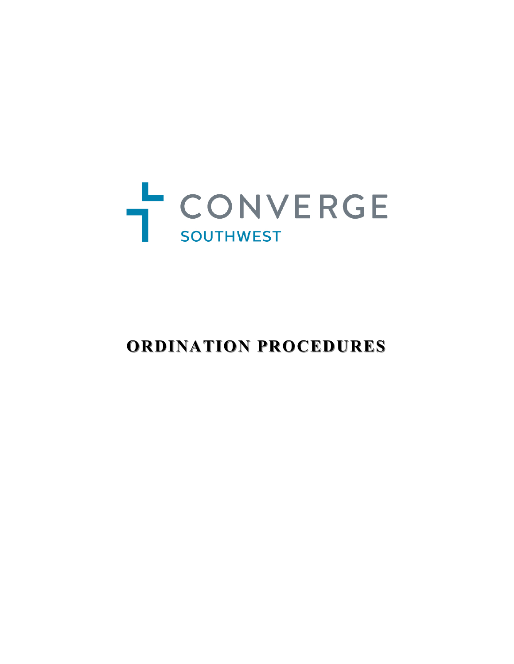

# **ORDINATION PROCEDURES ORDINATION PROCEDURES**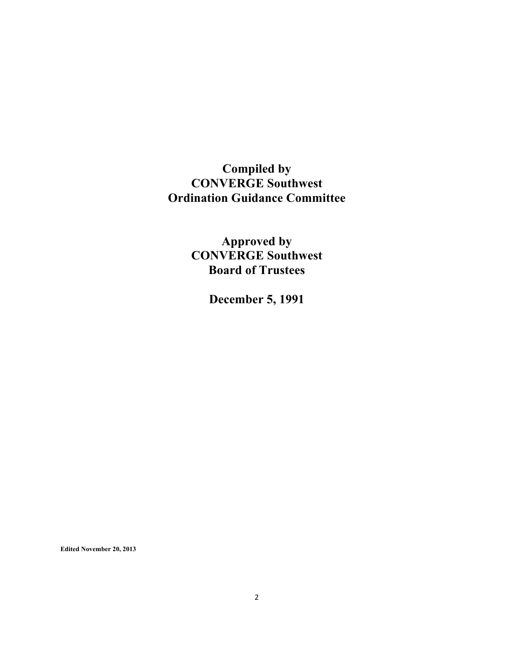# **Compiled by CONVERGE Southwest Ordination Guidance Committee**

**Approved by CONVERGE Southwest Board of Trustees**

**December 5, 1991**

**Edited November 20, 2013**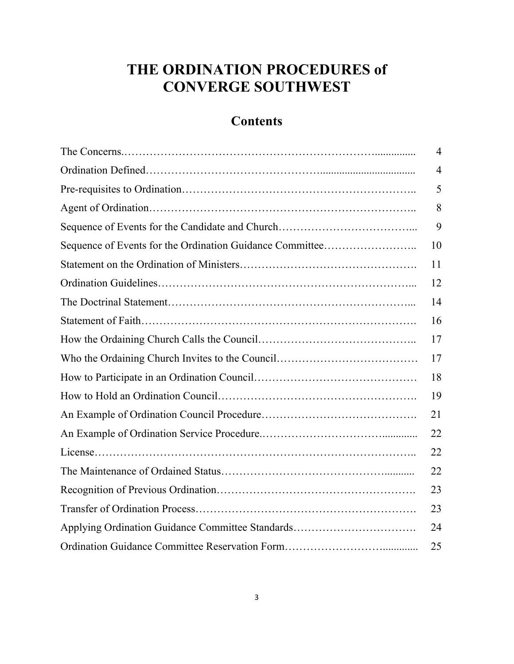# **THE ORDINATION PROCEDURES of CONVERGE SOUTHWEST**

# **Contents**

|                                                          | $\overline{4}$ |
|----------------------------------------------------------|----------------|
|                                                          | $\overline{4}$ |
|                                                          | 5              |
|                                                          | 8              |
|                                                          | 9              |
| Sequence of Events for the Ordination Guidance Committee | 10             |
|                                                          | 11             |
|                                                          | 12             |
|                                                          | 14             |
|                                                          | 16             |
|                                                          | 17             |
|                                                          | 17             |
|                                                          | 18             |
|                                                          | 19             |
|                                                          | 21             |
|                                                          | 22             |
|                                                          | 22             |
|                                                          | 22             |
|                                                          | 23             |
|                                                          | 23             |
| Applying Ordination Guidance Committee Standards         | 24             |
|                                                          | 25             |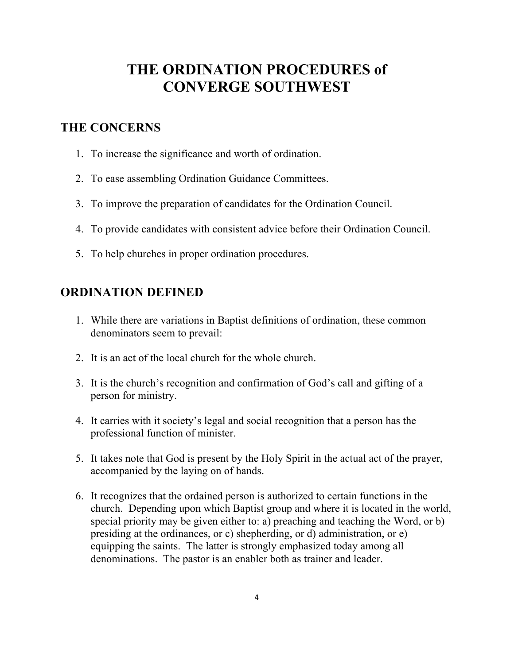# **THE ORDINATION PROCEDURES of CONVERGE SOUTHWEST**

#### **THE CONCERNS**

- 1. To increase the significance and worth of ordination.
- 2. To ease assembling Ordination Guidance Committees.
- 3. To improve the preparation of candidates for the Ordination Council.
- 4. To provide candidates with consistent advice before their Ordination Council.
- 5. To help churches in proper ordination procedures.

### **ORDINATION DEFINED**

- 1. While there are variations in Baptist definitions of ordination, these common denominators seem to prevail:
- 2. It is an act of the local church for the whole church.
- 3. It is the church's recognition and confirmation of God's call and gifting of a person for ministry.
- 4. It carries with it society's legal and social recognition that a person has the professional function of minister.
- 5. It takes note that God is present by the Holy Spirit in the actual act of the prayer, accompanied by the laying on of hands.
- 6. It recognizes that the ordained person is authorized to certain functions in the church. Depending upon which Baptist group and where it is located in the world, special priority may be given either to: a) preaching and teaching the Word, or b) presiding at the ordinances, or c) shepherding, or d) administration, or e) equipping the saints. The latter is strongly emphasized today among all denominations. The pastor is an enabler both as trainer and leader.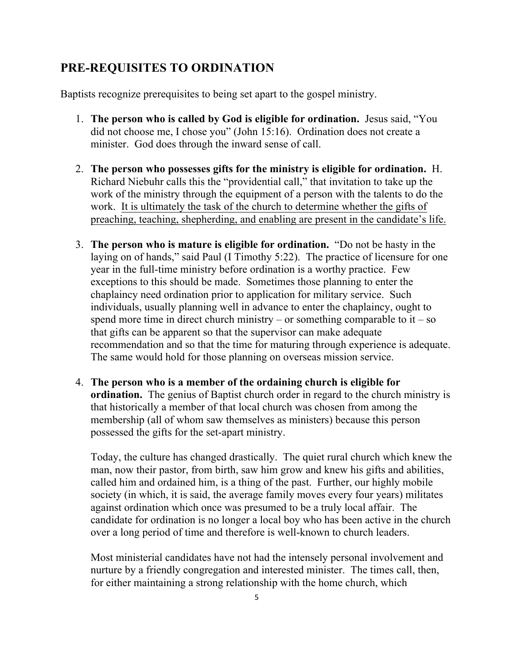## **PRE-REQUISITES TO ORDINATION**

Baptists recognize prerequisites to being set apart to the gospel ministry.

- 1. **The person who is called by God is eligible for ordination.** Jesus said, "You did not choose me, I chose you" (John 15:16). Ordination does not create a minister. God does through the inward sense of call.
- 2. **The person who possesses gifts for the ministry is eligible for ordination.** H. Richard Niebuhr calls this the "providential call," that invitation to take up the work of the ministry through the equipment of a person with the talents to do the work. It is ultimately the task of the church to determine whether the gifts of preaching, teaching, shepherding, and enabling are present in the candidate's life.
- 3. **The person who is mature is eligible for ordination.** "Do not be hasty in the laying on of hands," said Paul (I Timothy 5:22). The practice of licensure for one year in the full-time ministry before ordination is a worthy practice. Few exceptions to this should be made. Sometimes those planning to enter the chaplaincy need ordination prior to application for military service. Such individuals, usually planning well in advance to enter the chaplaincy, ought to spend more time in direct church ministry – or something comparable to it – so that gifts can be apparent so that the supervisor can make adequate recommendation and so that the time for maturing through experience is adequate. The same would hold for those planning on overseas mission service.
- 4. **The person who is a member of the ordaining church is eligible for ordination.** The genius of Baptist church order in regard to the church ministry is that historically a member of that local church was chosen from among the membership (all of whom saw themselves as ministers) because this person possessed the gifts for the set-apart ministry.

Today, the culture has changed drastically. The quiet rural church which knew the man, now their pastor, from birth, saw him grow and knew his gifts and abilities, called him and ordained him, is a thing of the past. Further, our highly mobile society (in which, it is said, the average family moves every four years) militates against ordination which once was presumed to be a truly local affair. The candidate for ordination is no longer a local boy who has been active in the church over a long period of time and therefore is well-known to church leaders.

Most ministerial candidates have not had the intensely personal involvement and nurture by a friendly congregation and interested minister. The times call, then, for either maintaining a strong relationship with the home church, which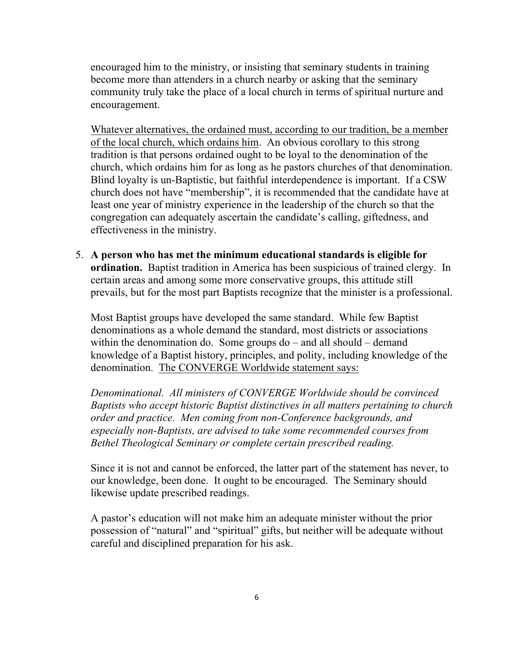encouraged him to the ministry, or insisting that seminary students in training become more than attenders in a church nearby or asking that the seminary community truly take the place of a local church in terms of spiritual nurture and encouragement.

Whatever alternatives, the ordained must, according to our tradition, be a member of the local church, which ordains him. An obvious corollary to this strong tradition is that persons ordained ought to be loyal to the denomination of the church, which ordains him for as long as he pastors churches of that denomination. Blind loyalty is un-Baptistic, but faithful interdependence is important. If a CSW church does not have "membership", it is recommended that the candidate have at least one year of ministry experience in the leadership of the church so that the congregation can adequately ascertain the candidate's calling, giftedness, and effectiveness in the ministry.

5. **A person who has met the minimum educational standards is eligible for ordination.** Baptist tradition in America has been suspicious of trained clergy. In certain areas and among some more conservative groups, this attitude still prevails, but for the most part Baptists recognize that the minister is a professional.

Most Baptist groups have developed the same standard. While few Baptist denominations as a whole demand the standard, most districts or associations within the denomination do. Some groups do – and all should – demand knowledge of a Baptist history, principles, and polity, including knowledge of the denomination. The CONVERGE Worldwide statement says:

*Denominational. All ministers of CONVERGE Worldwide should be convinced Baptists who accept historic Baptist distinctives in all matters pertaining to church order and practice. Men coming from non-Conference backgrounds, and especially non-Baptists, are advised to take some recommended courses from Bethel Theological Seminary or complete certain prescribed reading.* 

Since it is not and cannot be enforced, the latter part of the statement has never, to our knowledge, been done. It ought to be encouraged. The Seminary should likewise update prescribed readings.

A pastor's education will not make him an adequate minister without the prior possession of "natural" and "spiritual" gifts, but neither will be adequate without careful and disciplined preparation for his ask.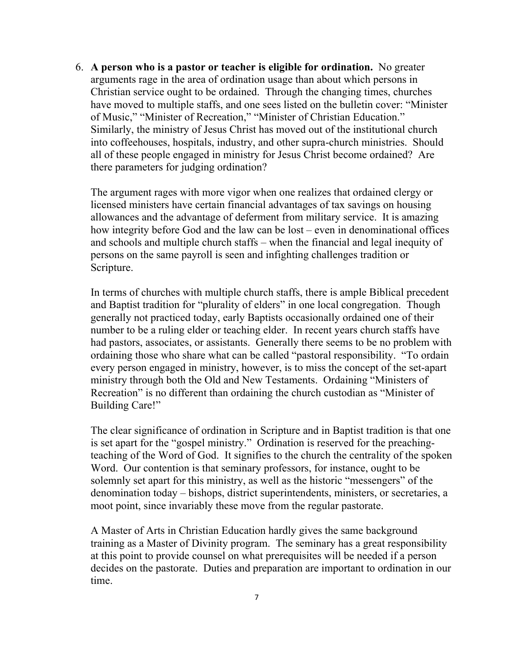6. **A person who is a pastor or teacher is eligible for ordination.** No greater arguments rage in the area of ordination usage than about which persons in Christian service ought to be ordained. Through the changing times, churches have moved to multiple staffs, and one sees listed on the bulletin cover: "Minister of Music," "Minister of Recreation," "Minister of Christian Education." Similarly, the ministry of Jesus Christ has moved out of the institutional church into coffeehouses, hospitals, industry, and other supra-church ministries. Should all of these people engaged in ministry for Jesus Christ become ordained? Are there parameters for judging ordination?

The argument rages with more vigor when one realizes that ordained clergy or licensed ministers have certain financial advantages of tax savings on housing allowances and the advantage of deferment from military service. It is amazing how integrity before God and the law can be lost – even in denominational offices and schools and multiple church staffs – when the financial and legal inequity of persons on the same payroll is seen and infighting challenges tradition or Scripture.

In terms of churches with multiple church staffs, there is ample Biblical precedent and Baptist tradition for "plurality of elders" in one local congregation. Though generally not practiced today, early Baptists occasionally ordained one of their number to be a ruling elder or teaching elder. In recent years church staffs have had pastors, associates, or assistants. Generally there seems to be no problem with ordaining those who share what can be called "pastoral responsibility. "To ordain every person engaged in ministry, however, is to miss the concept of the set-apart ministry through both the Old and New Testaments. Ordaining "Ministers of Recreation" is no different than ordaining the church custodian as "Minister of Building Care!"

The clear significance of ordination in Scripture and in Baptist tradition is that one is set apart for the "gospel ministry." Ordination is reserved for the preachingteaching of the Word of God. It signifies to the church the centrality of the spoken Word. Our contention is that seminary professors, for instance, ought to be solemnly set apart for this ministry, as well as the historic "messengers" of the denomination today – bishops, district superintendents, ministers, or secretaries, a moot point, since invariably these move from the regular pastorate.

A Master of Arts in Christian Education hardly gives the same background training as a Master of Divinity program. The seminary has a great responsibility at this point to provide counsel on what prerequisites will be needed if a person decides on the pastorate. Duties and preparation are important to ordination in our time.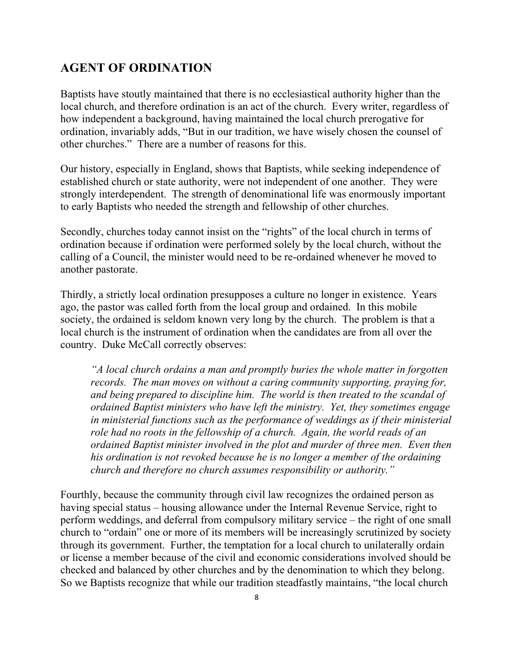#### **AGENT OF ORDINATION**

Baptists have stoutly maintained that there is no ecclesiastical authority higher than the local church, and therefore ordination is an act of the church. Every writer, regardless of how independent a background, having maintained the local church prerogative for ordination, invariably adds, "But in our tradition, we have wisely chosen the counsel of other churches." There are a number of reasons for this.

Our history, especially in England, shows that Baptists, while seeking independence of established church or state authority, were not independent of one another. They were strongly interdependent. The strength of denominational life was enormously important to early Baptists who needed the strength and fellowship of other churches.

Secondly, churches today cannot insist on the "rights" of the local church in terms of ordination because if ordination were performed solely by the local church, without the calling of a Council, the minister would need to be re-ordained whenever he moved to another pastorate.

Thirdly, a strictly local ordination presupposes a culture no longer in existence. Years ago, the pastor was called forth from the local group and ordained. In this mobile society, the ordained is seldom known very long by the church. The problem is that a local church is the instrument of ordination when the candidates are from all over the country. Duke McCall correctly observes:

*"A local church ordains a man and promptly buries the whole matter in forgotten records. The man moves on without a caring community supporting, praying for, and being prepared to discipline him. The world is then treated to the scandal of ordained Baptist ministers who have left the ministry. Yet, they sometimes engage in ministerial functions such as the performance of weddings as if their ministerial role had no roots in the fellowship of a church. Again, the world reads of an ordained Baptist minister involved in the plot and murder of three men. Even then his ordination is not revoked because he is no longer a member of the ordaining church and therefore no church assumes responsibility or authority."*

Fourthly, because the community through civil law recognizes the ordained person as having special status – housing allowance under the Internal Revenue Service, right to perform weddings, and deferral from compulsory military service – the right of one small church to "ordain" one or more of its members will be increasingly scrutinized by society through its government. Further, the temptation for a local church to unilaterally ordain or license a member because of the civil and economic considerations involved should be checked and balanced by other churches and by the denomination to which they belong. So we Baptists recognize that while our tradition steadfastly maintains, "the local church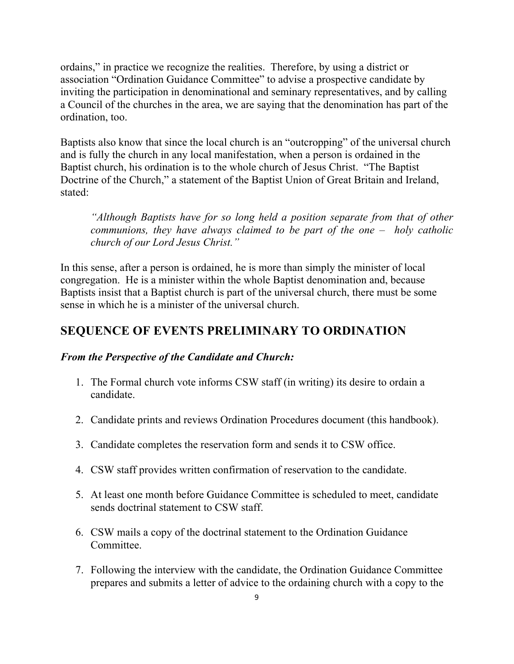ordains," in practice we recognize the realities. Therefore, by using a district or association "Ordination Guidance Committee" to advise a prospective candidate by inviting the participation in denominational and seminary representatives, and by calling a Council of the churches in the area, we are saying that the denomination has part of the ordination, too.

Baptists also know that since the local church is an "outcropping" of the universal church and is fully the church in any local manifestation, when a person is ordained in the Baptist church, his ordination is to the whole church of Jesus Christ. "The Baptist Doctrine of the Church," a statement of the Baptist Union of Great Britain and Ireland, stated:

*"Although Baptists have for so long held a position separate from that of other communions, they have always claimed to be part of the one – holy catholic church of our Lord Jesus Christ."*

In this sense, after a person is ordained, he is more than simply the minister of local congregation. He is a minister within the whole Baptist denomination and, because Baptists insist that a Baptist church is part of the universal church, there must be some sense in which he is a minister of the universal church.

## **SEQUENCE OF EVENTS PRELIMINARY TO ORDINATION**

#### *From the Perspective of the Candidate and Church:*

- 1. The Formal church vote informs CSW staff (in writing) its desire to ordain a candidate.
- 2. Candidate prints and reviews Ordination Procedures document (this handbook).
- 3. Candidate completes the reservation form and sends it to CSW office.
- 4. CSW staff provides written confirmation of reservation to the candidate.
- 5. At least one month before Guidance Committee is scheduled to meet, candidate sends doctrinal statement to CSW staff.
- 6. CSW mails a copy of the doctrinal statement to the Ordination Guidance **Committee**
- 7. Following the interview with the candidate, the Ordination Guidance Committee prepares and submits a letter of advice to the ordaining church with a copy to the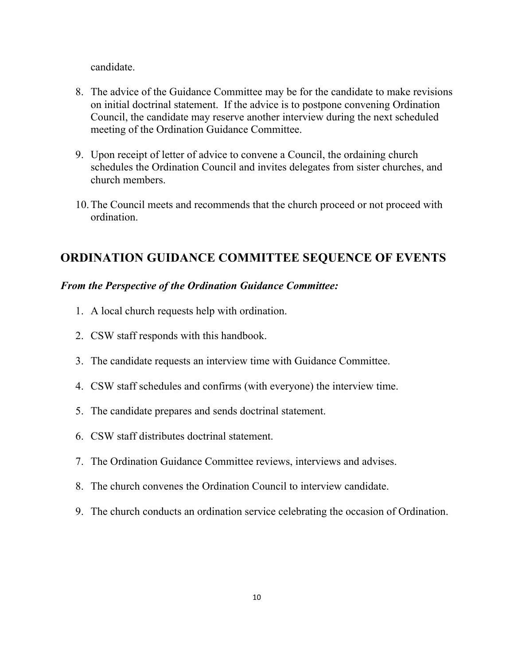candidate.

- 8. The advice of the Guidance Committee may be for the candidate to make revisions on initial doctrinal statement. If the advice is to postpone convening Ordination Council, the candidate may reserve another interview during the next scheduled meeting of the Ordination Guidance Committee.
- 9. Upon receipt of letter of advice to convene a Council, the ordaining church schedules the Ordination Council and invites delegates from sister churches, and church members.
- 10.The Council meets and recommends that the church proceed or not proceed with ordination.

## **ORDINATION GUIDANCE COMMITTEE SEQUENCE OF EVENTS**

#### *From the Perspective of the Ordination Guidance Committee:*

- 1. A local church requests help with ordination.
- 2. CSW staff responds with this handbook.
- 3. The candidate requests an interview time with Guidance Committee.
- 4. CSW staff schedules and confirms (with everyone) the interview time.
- 5. The candidate prepares and sends doctrinal statement.
- 6. CSW staff distributes doctrinal statement.
- 7. The Ordination Guidance Committee reviews, interviews and advises.
- 8. The church convenes the Ordination Council to interview candidate.
- 9. The church conducts an ordination service celebrating the occasion of Ordination.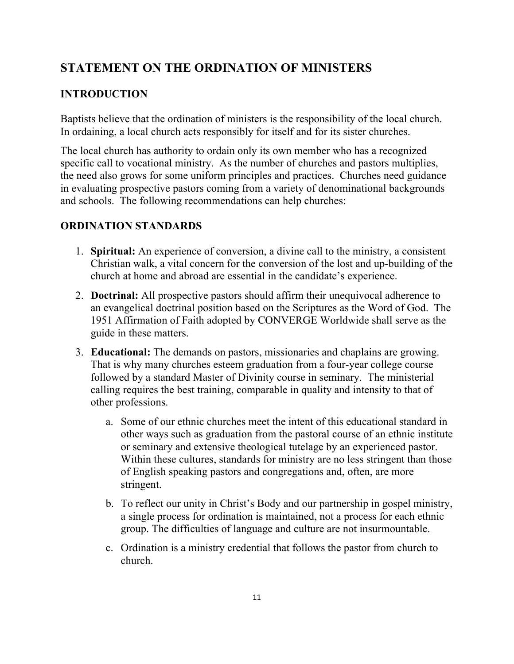# **STATEMENT ON THE ORDINATION OF MINISTERS**

### **INTRODUCTION**

Baptists believe that the ordination of ministers is the responsibility of the local church. In ordaining, a local church acts responsibly for itself and for its sister churches.

The local church has authority to ordain only its own member who has a recognized specific call to vocational ministry. As the number of churches and pastors multiplies, the need also grows for some uniform principles and practices. Churches need guidance in evaluating prospective pastors coming from a variety of denominational backgrounds and schools. The following recommendations can help churches:

#### **ORDINATION STANDARDS**

- 1. **Spiritual:** An experience of conversion, a divine call to the ministry, a consistent Christian walk, a vital concern for the conversion of the lost and up-building of the church at home and abroad are essential in the candidate's experience.
- 2. **Doctrinal:** All prospective pastors should affirm their unequivocal adherence to an evangelical doctrinal position based on the Scriptures as the Word of God. The 1951 Affirmation of Faith adopted by CONVERGE Worldwide shall serve as the guide in these matters.
- 3. **Educational:** The demands on pastors, missionaries and chaplains are growing. That is why many churches esteem graduation from a four-year college course followed by a standard Master of Divinity course in seminary. The ministerial calling requires the best training, comparable in quality and intensity to that of other professions.
	- a. Some of our ethnic churches meet the intent of this educational standard in other ways such as graduation from the pastoral course of an ethnic institute or seminary and extensive theological tutelage by an experienced pastor. Within these cultures, standards for ministry are no less stringent than those of English speaking pastors and congregations and, often, are more stringent.
	- b. To reflect our unity in Christ's Body and our partnership in gospel ministry, a single process for ordination is maintained, not a process for each ethnic group. The difficulties of language and culture are not insurmountable.
	- c. Ordination is a ministry credential that follows the pastor from church to church.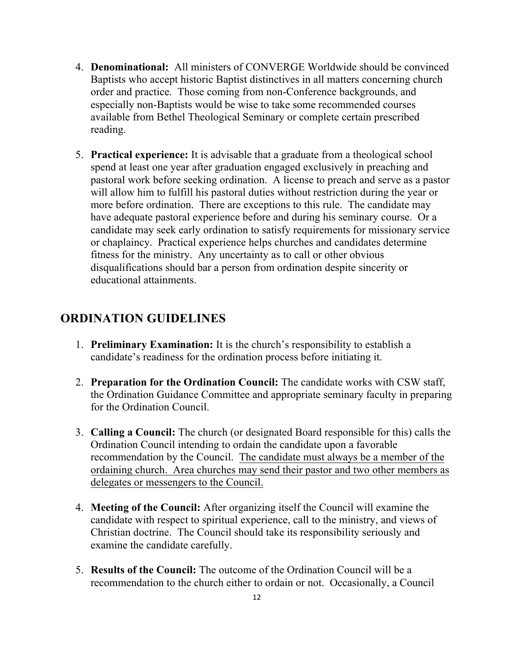- 4. **Denominational:** All ministers of CONVERGE Worldwide should be convinced Baptists who accept historic Baptist distinctives in all matters concerning church order and practice. Those coming from non-Conference backgrounds, and especially non-Baptists would be wise to take some recommended courses available from Bethel Theological Seminary or complete certain prescribed reading.
- 5. **Practical experience:** It is advisable that a graduate from a theological school spend at least one year after graduation engaged exclusively in preaching and pastoral work before seeking ordination. A license to preach and serve as a pastor will allow him to fulfill his pastoral duties without restriction during the year or more before ordination. There are exceptions to this rule. The candidate may have adequate pastoral experience before and during his seminary course. Or a candidate may seek early ordination to satisfy requirements for missionary service or chaplaincy. Practical experience helps churches and candidates determine fitness for the ministry. Any uncertainty as to call or other obvious disqualifications should bar a person from ordination despite sincerity or educational attainments.

### **ORDINATION GUIDELINES**

- 1. **Preliminary Examination:** It is the church's responsibility to establish a candidate's readiness for the ordination process before initiating it.
- 2. **Preparation for the Ordination Council:** The candidate works with CSW staff, the Ordination Guidance Committee and appropriate seminary faculty in preparing for the Ordination Council.
- 3. **Calling a Council:** The church (or designated Board responsible for this) calls the Ordination Council intending to ordain the candidate upon a favorable recommendation by the Council. The candidate must always be a member of the ordaining church. Area churches may send their pastor and two other members as delegates or messengers to the Council.
- 4. **Meeting of the Council:** After organizing itself the Council will examine the candidate with respect to spiritual experience, call to the ministry, and views of Christian doctrine. The Council should take its responsibility seriously and examine the candidate carefully.
- 5. **Results of the Council:** The outcome of the Ordination Council will be a recommendation to the church either to ordain or not. Occasionally, a Council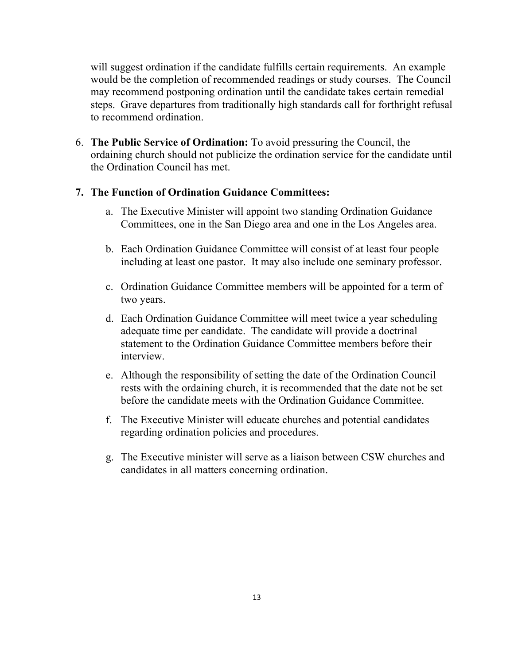will suggest ordination if the candidate fulfills certain requirements. An example would be the completion of recommended readings or study courses. The Council may recommend postponing ordination until the candidate takes certain remedial steps. Grave departures from traditionally high standards call for forthright refusal to recommend ordination.

6. **The Public Service of Ordination:** To avoid pressuring the Council, the ordaining church should not publicize the ordination service for the candidate until the Ordination Council has met.

#### **7. The Function of Ordination Guidance Committees:**

- a. The Executive Minister will appoint two standing Ordination Guidance Committees, one in the San Diego area and one in the Los Angeles area.
- b. Each Ordination Guidance Committee will consist of at least four people including at least one pastor. It may also include one seminary professor.
- c. Ordination Guidance Committee members will be appointed for a term of two years.
- d. Each Ordination Guidance Committee will meet twice a year scheduling adequate time per candidate. The candidate will provide a doctrinal statement to the Ordination Guidance Committee members before their interview.
- e. Although the responsibility of setting the date of the Ordination Council rests with the ordaining church, it is recommended that the date not be set before the candidate meets with the Ordination Guidance Committee.
- f. The Executive Minister will educate churches and potential candidates regarding ordination policies and procedures.
- g. The Executive minister will serve as a liaison between CSW churches and candidates in all matters concerning ordination.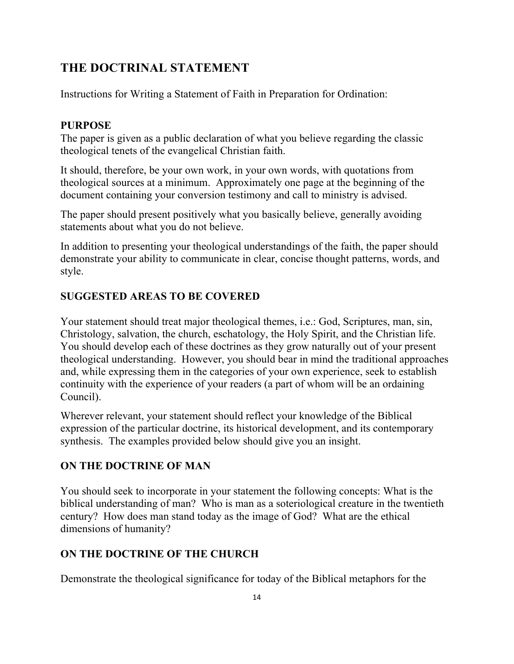# **THE DOCTRINAL STATEMENT**

Instructions for Writing a Statement of Faith in Preparation for Ordination:

#### **PURPOSE**

The paper is given as a public declaration of what you believe regarding the classic theological tenets of the evangelical Christian faith.

It should, therefore, be your own work, in your own words, with quotations from theological sources at a minimum. Approximately one page at the beginning of the document containing your conversion testimony and call to ministry is advised.

The paper should present positively what you basically believe, generally avoiding statements about what you do not believe.

In addition to presenting your theological understandings of the faith, the paper should demonstrate your ability to communicate in clear, concise thought patterns, words, and style.

#### **SUGGESTED AREAS TO BE COVERED**

Your statement should treat major theological themes, i.e.: God, Scriptures, man, sin, Christology, salvation, the church, eschatology, the Holy Spirit, and the Christian life. You should develop each of these doctrines as they grow naturally out of your present theological understanding. However, you should bear in mind the traditional approaches and, while expressing them in the categories of your own experience, seek to establish continuity with the experience of your readers (a part of whom will be an ordaining Council).

Wherever relevant, your statement should reflect your knowledge of the Biblical expression of the particular doctrine, its historical development, and its contemporary synthesis. The examples provided below should give you an insight.

### **ON THE DOCTRINE OF MAN**

You should seek to incorporate in your statement the following concepts: What is the biblical understanding of man? Who is man as a soteriological creature in the twentieth century? How does man stand today as the image of God? What are the ethical dimensions of humanity?

### **ON THE DOCTRINE OF THE CHURCH**

Demonstrate the theological significance for today of the Biblical metaphors for the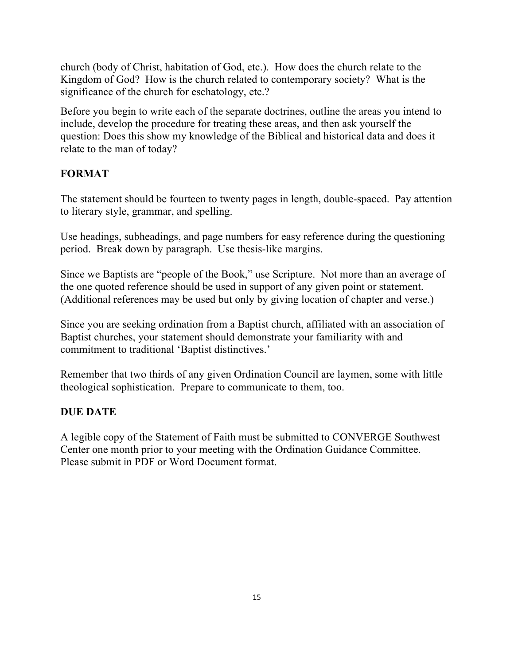church (body of Christ, habitation of God, etc.). How does the church relate to the Kingdom of God? How is the church related to contemporary society? What is the significance of the church for eschatology, etc.?

Before you begin to write each of the separate doctrines, outline the areas you intend to include, develop the procedure for treating these areas, and then ask yourself the question: Does this show my knowledge of the Biblical and historical data and does it relate to the man of today?

#### **FORMAT**

The statement should be fourteen to twenty pages in length, double-spaced. Pay attention to literary style, grammar, and spelling.

Use headings, subheadings, and page numbers for easy reference during the questioning period. Break down by paragraph. Use thesis-like margins.

Since we Baptists are "people of the Book," use Scripture. Not more than an average of the one quoted reference should be used in support of any given point or statement. (Additional references may be used but only by giving location of chapter and verse.)

Since you are seeking ordination from a Baptist church, affiliated with an association of Baptist churches, your statement should demonstrate your familiarity with and commitment to traditional 'Baptist distinctives.'

Remember that two thirds of any given Ordination Council are laymen, some with little theological sophistication. Prepare to communicate to them, too.

#### **DUE DATE**

A legible copy of the Statement of Faith must be submitted to CONVERGE Southwest Center one month prior to your meeting with the Ordination Guidance Committee. Please submit in PDF or Word Document format.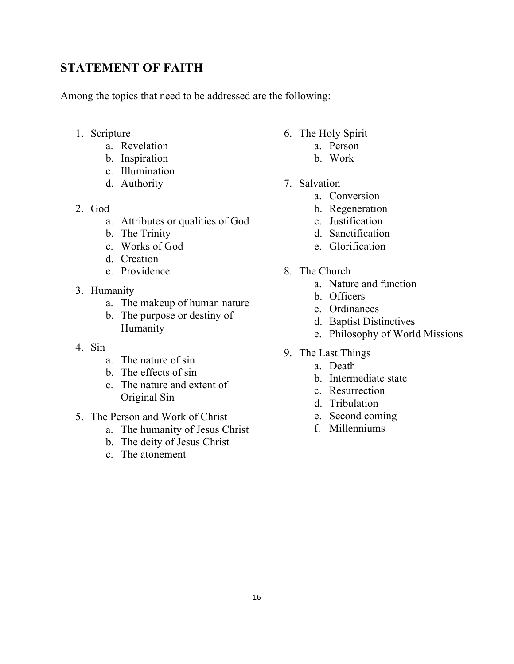## **STATEMENT OF FAITH**

Among the topics that need to be addressed are the following:

- 1. Scripture
	- a. Revelation
	- b. Inspiration
	- c. Illumination
	- d. Authority
- 2. God
	- a. Attributes or qualities of God
	- b. The Trinity
	- c. Works of God
	- d. Creation
	- e. Providence
- 3. Humanity
	- a. The makeup of human nature
	- b. The purpose or destiny of Humanity
- 4. Sin
	- a. The nature of sin
	- b. The effects of sin
	- c. The nature and extent of Original Sin
- 5. The Person and Work of Christ
	- a. The humanity of Jesus Christ
	- b. The deity of Jesus Christ
	- c. The atonement
- 6. The Holy Spirit
	- a. Person
	- b. Work
- 7. Salvation
	- a. Conversion
	- b. Regeneration
	- c. Justification
	- d. Sanctification
	- e. Glorification
- 8. The Church
	- a. Nature and function
	- b. Officers
	- c. Ordinances
	- d. Baptist Distinctives
	- e. Philosophy of World Missions
- 9. The Last Things
	- a. Death
	- b. Intermediate state
	- c. Resurrection
	- d. Tribulation
	- e. Second coming
	- f. Millenniums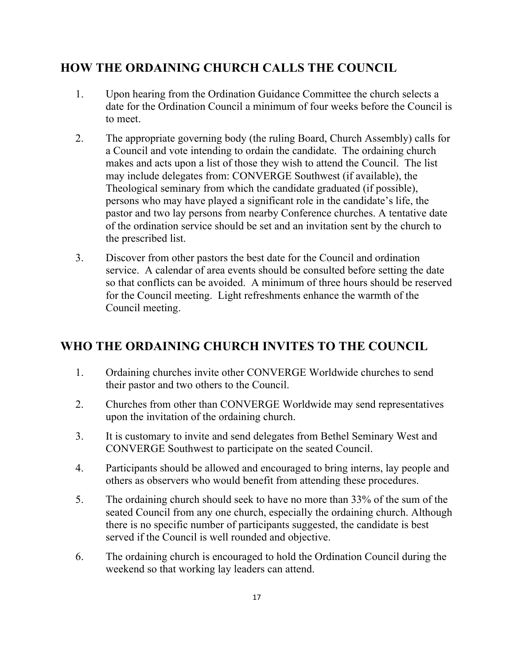# **HOW THE ORDAINING CHURCH CALLS THE COUNCIL**

- 1. Upon hearing from the Ordination Guidance Committee the church selects a date for the Ordination Council a minimum of four weeks before the Council is to meet.
- 2. The appropriate governing body (the ruling Board, Church Assembly) calls for a Council and vote intending to ordain the candidate. The ordaining church makes and acts upon a list of those they wish to attend the Council. The list may include delegates from: CONVERGE Southwest (if available), the Theological seminary from which the candidate graduated (if possible), persons who may have played a significant role in the candidate's life, the pastor and two lay persons from nearby Conference churches. A tentative date of the ordination service should be set and an invitation sent by the church to the prescribed list.
- 3. Discover from other pastors the best date for the Council and ordination service. A calendar of area events should be consulted before setting the date so that conflicts can be avoided. A minimum of three hours should be reserved for the Council meeting. Light refreshments enhance the warmth of the Council meeting.

# **WHO THE ORDAINING CHURCH INVITES TO THE COUNCIL**

- 1. Ordaining churches invite other CONVERGE Worldwide churches to send their pastor and two others to the Council.
- 2. Churches from other than CONVERGE Worldwide may send representatives upon the invitation of the ordaining church.
- 3. It is customary to invite and send delegates from Bethel Seminary West and CONVERGE Southwest to participate on the seated Council.
- 4. Participants should be allowed and encouraged to bring interns, lay people and others as observers who would benefit from attending these procedures.
- 5. The ordaining church should seek to have no more than 33% of the sum of the seated Council from any one church, especially the ordaining church. Although there is no specific number of participants suggested, the candidate is best served if the Council is well rounded and objective.
- 6. The ordaining church is encouraged to hold the Ordination Council during the weekend so that working lay leaders can attend.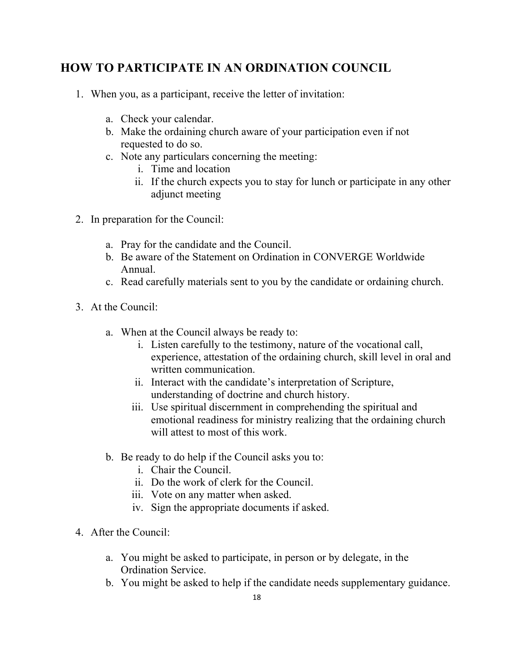# **HOW TO PARTICIPATE IN AN ORDINATION COUNCIL**

- 1. When you, as a participant, receive the letter of invitation:
	- a. Check your calendar.
	- b. Make the ordaining church aware of your participation even if not requested to do so.
	- c. Note any particulars concerning the meeting:
		- i. Time and location
		- ii. If the church expects you to stay for lunch or participate in any other adjunct meeting
- 2. In preparation for the Council:
	- a. Pray for the candidate and the Council.
	- b. Be aware of the Statement on Ordination in CONVERGE Worldwide Annual.
	- c. Read carefully materials sent to you by the candidate or ordaining church.
- 3. At the Council:
	- a. When at the Council always be ready to:
		- i. Listen carefully to the testimony, nature of the vocational call, experience, attestation of the ordaining church, skill level in oral and written communication.
		- ii. Interact with the candidate's interpretation of Scripture, understanding of doctrine and church history.
		- iii. Use spiritual discernment in comprehending the spiritual and emotional readiness for ministry realizing that the ordaining church will attest to most of this work.
	- b. Be ready to do help if the Council asks you to:
		- i. Chair the Council.
		- ii. Do the work of clerk for the Council.
		- iii. Vote on any matter when asked.
		- iv. Sign the appropriate documents if asked.
- 4. After the Council:
	- a. You might be asked to participate, in person or by delegate, in the Ordination Service.
	- b. You might be asked to help if the candidate needs supplementary guidance.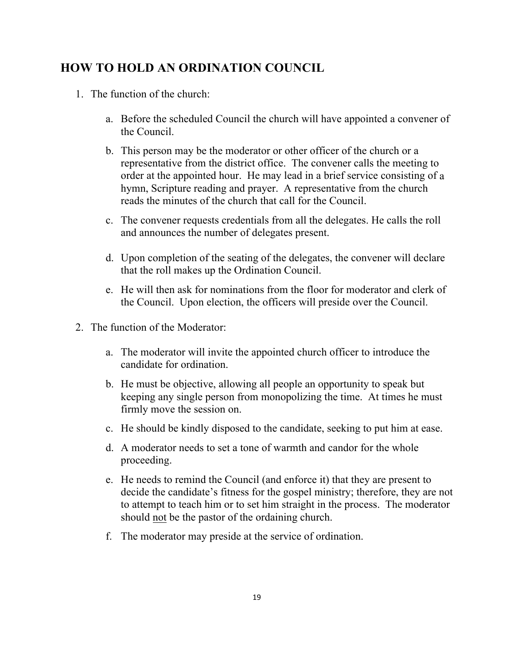## **HOW TO HOLD AN ORDINATION COUNCIL**

- 1. The function of the church:
	- a. Before the scheduled Council the church will have appointed a convener of the Council.
	- b. This person may be the moderator or other officer of the church or a representative from the district office. The convener calls the meeting to order at the appointed hour. He may lead in a brief service consisting of a hymn, Scripture reading and prayer. A representative from the church reads the minutes of the church that call for the Council.
	- c. The convener requests credentials from all the delegates. He calls the roll and announces the number of delegates present.
	- d. Upon completion of the seating of the delegates, the convener will declare that the roll makes up the Ordination Council.
	- e. He will then ask for nominations from the floor for moderator and clerk of the Council. Upon election, the officers will preside over the Council.
- 2. The function of the Moderator:
	- a. The moderator will invite the appointed church officer to introduce the candidate for ordination.
	- b. He must be objective, allowing all people an opportunity to speak but keeping any single person from monopolizing the time. At times he must firmly move the session on.
	- c. He should be kindly disposed to the candidate, seeking to put him at ease.
	- d. A moderator needs to set a tone of warmth and candor for the whole proceeding.
	- e. He needs to remind the Council (and enforce it) that they are present to decide the candidate's fitness for the gospel ministry; therefore, they are not to attempt to teach him or to set him straight in the process. The moderator should not be the pastor of the ordaining church.
	- f. The moderator may preside at the service of ordination.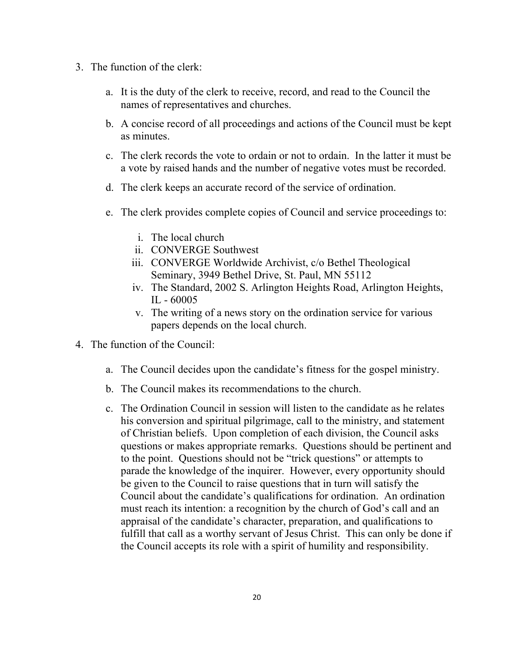- 3. The function of the clerk:
	- a. It is the duty of the clerk to receive, record, and read to the Council the names of representatives and churches.
	- b. A concise record of all proceedings and actions of the Council must be kept as minutes.
	- c. The clerk records the vote to ordain or not to ordain. In the latter it must be a vote by raised hands and the number of negative votes must be recorded.
	- d. The clerk keeps an accurate record of the service of ordination.
	- e. The clerk provides complete copies of Council and service proceedings to:
		- i. The local church
		- ii. CONVERGE Southwest
		- iii. CONVERGE Worldwide Archivist, c/o Bethel Theological Seminary, 3949 Bethel Drive, St. Paul, MN 55112
		- iv. The Standard, 2002 S. Arlington Heights Road, Arlington Heights, IL - 60005
		- v. The writing of a news story on the ordination service for various papers depends on the local church.
- 4. The function of the Council:
	- a. The Council decides upon the candidate's fitness for the gospel ministry.
	- b. The Council makes its recommendations to the church.
	- c. The Ordination Council in session will listen to the candidate as he relates his conversion and spiritual pilgrimage, call to the ministry, and statement of Christian beliefs. Upon completion of each division, the Council asks questions or makes appropriate remarks. Questions should be pertinent and to the point. Questions should not be "trick questions" or attempts to parade the knowledge of the inquirer. However, every opportunity should be given to the Council to raise questions that in turn will satisfy the Council about the candidate's qualifications for ordination. An ordination must reach its intention: a recognition by the church of God's call and an appraisal of the candidate's character, preparation, and qualifications to fulfill that call as a worthy servant of Jesus Christ. This can only be done if the Council accepts its role with a spirit of humility and responsibility.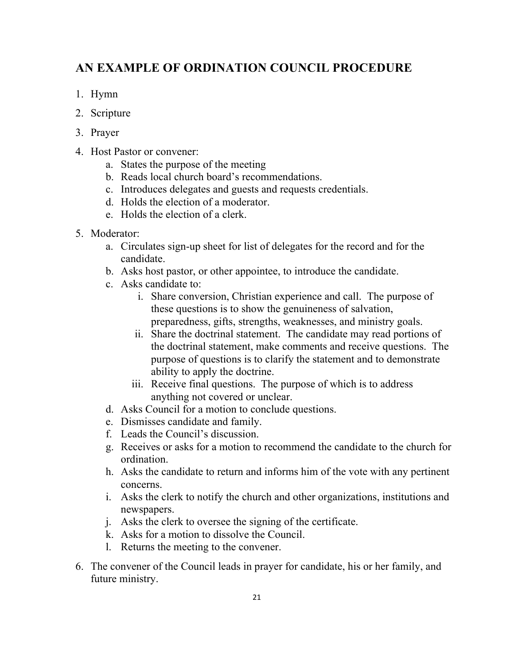# **AN EXAMPLE OF ORDINATION COUNCIL PROCEDURE**

- 1. Hymn
- 2. Scripture
- 3. Prayer
- 4. Host Pastor or convener:
	- a. States the purpose of the meeting
	- b. Reads local church board's recommendations.
	- c. Introduces delegates and guests and requests credentials.
	- d. Holds the election of a moderator.
	- e. Holds the election of a clerk.
- 5. Moderator:
	- a. Circulates sign-up sheet for list of delegates for the record and for the candidate.
	- b. Asks host pastor, or other appointee, to introduce the candidate.
	- c. Asks candidate to:
		- i. Share conversion, Christian experience and call. The purpose of these questions is to show the genuineness of salvation, preparedness, gifts, strengths, weaknesses, and ministry goals.
		- ii. Share the doctrinal statement. The candidate may read portions of the doctrinal statement, make comments and receive questions. The purpose of questions is to clarify the statement and to demonstrate ability to apply the doctrine.
		- iii. Receive final questions. The purpose of which is to address anything not covered or unclear.
	- d. Asks Council for a motion to conclude questions.
	- e. Dismisses candidate and family.
	- f. Leads the Council's discussion.
	- g. Receives or asks for a motion to recommend the candidate to the church for ordination.
	- h. Asks the candidate to return and informs him of the vote with any pertinent concerns.
	- i. Asks the clerk to notify the church and other organizations, institutions and newspapers.
	- j. Asks the clerk to oversee the signing of the certificate.
	- k. Asks for a motion to dissolve the Council.
	- l. Returns the meeting to the convener.
- 6. The convener of the Council leads in prayer for candidate, his or her family, and future ministry.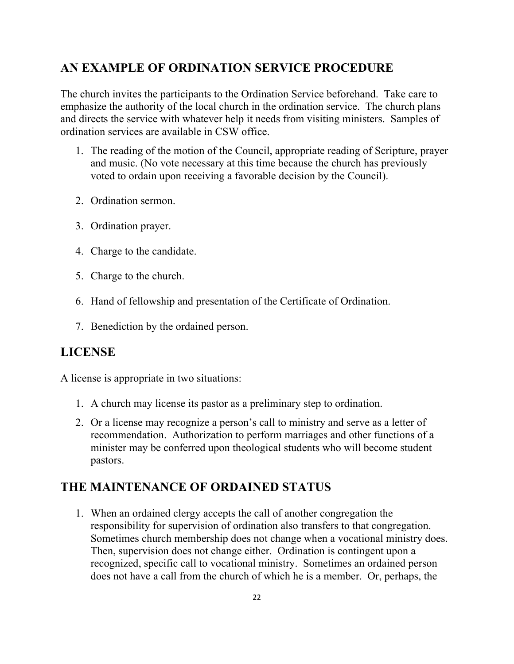## **AN EXAMPLE OF ORDINATION SERVICE PROCEDURE**

The church invites the participants to the Ordination Service beforehand. Take care to emphasize the authority of the local church in the ordination service. The church plans and directs the service with whatever help it needs from visiting ministers. Samples of ordination services are available in CSW office.

- 1. The reading of the motion of the Council, appropriate reading of Scripture, prayer and music. (No vote necessary at this time because the church has previously voted to ordain upon receiving a favorable decision by the Council).
- 2. Ordination sermon.
- 3. Ordination prayer.
- 4. Charge to the candidate.
- 5. Charge to the church.
- 6. Hand of fellowship and presentation of the Certificate of Ordination.
- 7. Benediction by the ordained person.

### **LICENSE**

A license is appropriate in two situations:

- 1. A church may license its pastor as a preliminary step to ordination.
- 2. Or a license may recognize a person's call to ministry and serve as a letter of recommendation. Authorization to perform marriages and other functions of a minister may be conferred upon theological students who will become student pastors.

## **THE MAINTENANCE OF ORDAINED STATUS**

1. When an ordained clergy accepts the call of another congregation the responsibility for supervision of ordination also transfers to that congregation. Sometimes church membership does not change when a vocational ministry does. Then, supervision does not change either. Ordination is contingent upon a recognized, specific call to vocational ministry. Sometimes an ordained person does not have a call from the church of which he is a member. Or, perhaps, the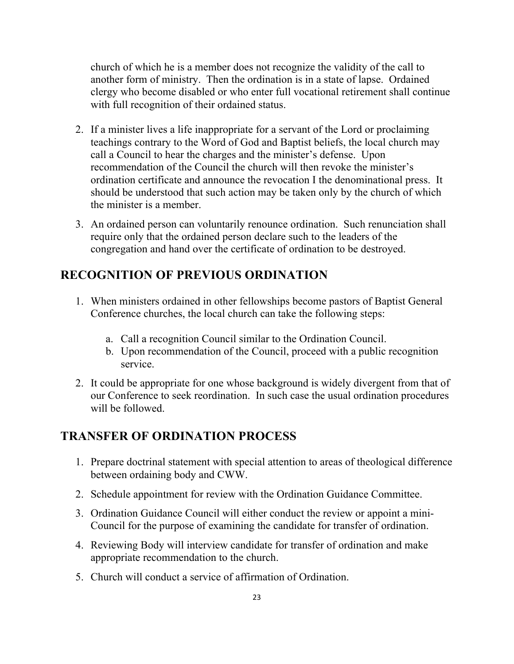church of which he is a member does not recognize the validity of the call to another form of ministry. Then the ordination is in a state of lapse. Ordained clergy who become disabled or who enter full vocational retirement shall continue with full recognition of their ordained status.

- 2. If a minister lives a life inappropriate for a servant of the Lord or proclaiming teachings contrary to the Word of God and Baptist beliefs, the local church may call a Council to hear the charges and the minister's defense. Upon recommendation of the Council the church will then revoke the minister's ordination certificate and announce the revocation I the denominational press. It should be understood that such action may be taken only by the church of which the minister is a member.
- 3. An ordained person can voluntarily renounce ordination. Such renunciation shall require only that the ordained person declare such to the leaders of the congregation and hand over the certificate of ordination to be destroyed.

## **RECOGNITION OF PREVIOUS ORDINATION**

- 1. When ministers ordained in other fellowships become pastors of Baptist General Conference churches, the local church can take the following steps:
	- a. Call a recognition Council similar to the Ordination Council.
	- b. Upon recommendation of the Council, proceed with a public recognition service.
- 2. It could be appropriate for one whose background is widely divergent from that of our Conference to seek reordination. In such case the usual ordination procedures will be followed.

#### **TRANSFER OF ORDINATION PROCESS**

- 1. Prepare doctrinal statement with special attention to areas of theological difference between ordaining body and CWW.
- 2. Schedule appointment for review with the Ordination Guidance Committee.
- 3. Ordination Guidance Council will either conduct the review or appoint a mini-Council for the purpose of examining the candidate for transfer of ordination.
- 4. Reviewing Body will interview candidate for transfer of ordination and make appropriate recommendation to the church.
- 5. Church will conduct a service of affirmation of Ordination.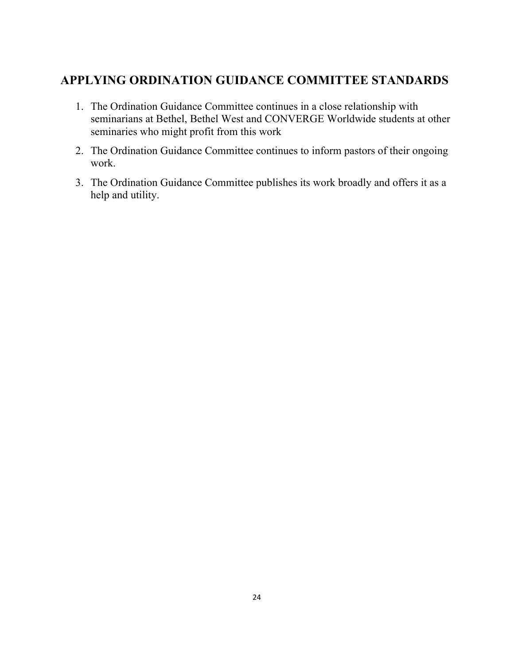# **APPLYING ORDINATION GUIDANCE COMMITTEE STANDARDS**

- 1. The Ordination Guidance Committee continues in a close relationship with seminarians at Bethel, Bethel West and CONVERGE Worldwide students at other seminaries who might profit from this work
- 2. The Ordination Guidance Committee continues to inform pastors of their ongoing work.
- 3. The Ordination Guidance Committee publishes its work broadly and offers it as a help and utility.